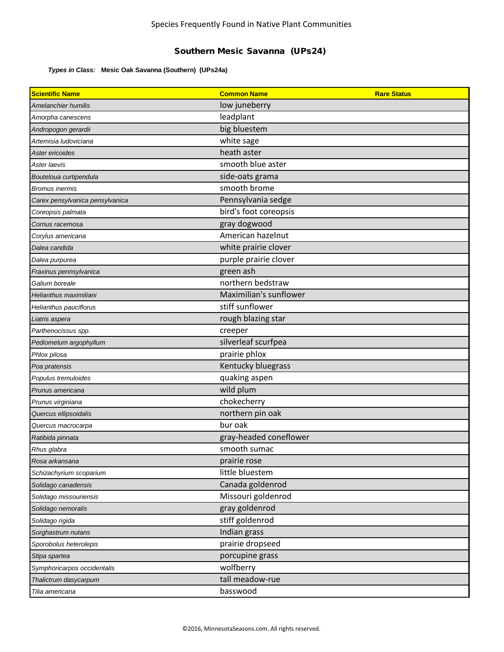## Southern Mesic Savanna (UPs24)

## *Types in Class:* **Mesic Oak Savanna (Southern) (UPs24a)**

| <b>Scientific Name</b>          | <b>Common Name</b>     | <b>Rare Status</b> |
|---------------------------------|------------------------|--------------------|
| Amelanchier humilis             | low juneberry          |                    |
| Amorpha canescens               | leadplant              |                    |
| Andropogon gerardii             | big bluestem           |                    |
| Artemisia Iudoviciana           | white sage             |                    |
| Aster ericoides                 | heath aster            |                    |
| Aster laevis                    | smooth blue aster      |                    |
| Bouteloua curtipendula          | side-oats grama        |                    |
| <b>Bromus inermis</b>           | smooth brome           |                    |
| Carex pensylvanica pensylvanica | Pennsylvania sedge     |                    |
| Coreopsis palmata               | bird's foot coreopsis  |                    |
| Cornus racemosa                 | gray dogwood           |                    |
| Corylus americana               | American hazelnut      |                    |
| Dalea candida                   | white prairie clover   |                    |
| Dalea purpurea                  | purple prairie clover  |                    |
| Fraxinus pennsylvanica          | green ash              |                    |
| Galium boreale                  | northern bedstraw      |                    |
| Helianthus maximiliani          | Maximilian's sunflower |                    |
| Helianthus pauciflorus          | stiff sunflower        |                    |
| Liatris aspera                  | rough blazing star     |                    |
| Parthenocissus spp.             | creeper                |                    |
| Pediomelum argophyllum          | silverleaf scurfpea    |                    |
| Phlox pilosa                    | prairie phlox          |                    |
| Poa pratensis                   | Kentucky bluegrass     |                    |
| Populus tremuloides             | quaking aspen          |                    |
| Prunus americana                | wild plum              |                    |
| Prunus virginiana               | chokecherry            |                    |
| Quercus ellipsoidalis           | northern pin oak       |                    |
| Quercus macrocarpa              | bur oak                |                    |
| Ratibida pinnata                | gray-headed coneflower |                    |
| Rhus glabra                     | smooth sumac           |                    |
| Rosa arkansana                  | prairie rose           |                    |
| Schizachyrium scoparium         | little bluestem        |                    |
| Solidago canadensis             | Canada goldenrod       |                    |
| Solidago missouriensis          | Missouri goldenrod     |                    |
| Solidago nemoralis              | gray goldenrod         |                    |
| Solidago rigida                 | stiff goldenrod        |                    |
| Sorghastrum nutans              | Indian grass           |                    |
| Sporobolus heterolepis          | prairie dropseed       |                    |
| Stipa spartea                   | porcupine grass        |                    |
| Symphoricarpos occidentalis     | wolfberry              |                    |
| Thalictrum dasycarpum           | tall meadow-rue        |                    |
| Tilia americana                 | basswood               |                    |